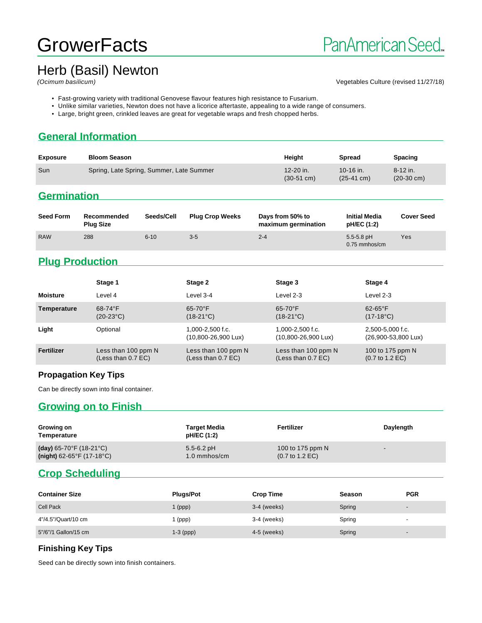## **GrowerFacts**

# Herb (Basil) Newton

#### Vegetables Culture (revised 11/27/18)

- Fast-growing variety with traditional Genovese flavour features high resistance to Fusarium.
- Unlike similar varieties, Newton does not have a licorice aftertaste, appealing to a wide range of consumers.
- Large, bright green, crinkled leaves are great for vegetable wraps and fresh chopped herbs.

## **General Information**

| <b>Exposure</b> | <b>Bloom Season</b>                      | Heiaht                                | <b>Spread</b>                     | <b>Spacing</b>                       |
|-----------------|------------------------------------------|---------------------------------------|-----------------------------------|--------------------------------------|
| Sun             | Spring, Late Spring, Summer, Late Summer | $12 - 20$ in.<br>$(30-51 \text{ cm})$ | 10-16 in.<br>$(25-41 \text{ cm})$ | $8 - 12$ in.<br>$(20-30 \text{ cm})$ |

## **Germination**

| <b>Seed Form</b> | Recommended<br><b>Plug Size</b> | Seeds/Cell | <b>Plug Crop Weeks</b> | Days from 50% to<br>maximum germination | <b>Initial Media</b><br>pH/EC (1:2) | <b>Cover Seed</b> |
|------------------|---------------------------------|------------|------------------------|-----------------------------------------|-------------------------------------|-------------------|
| <b>RAW</b>       | 288                             | $6 - 10$   | $3 - 5$                | $2 - 4$                                 | $5.5 - 5.8$ pH<br>$0.75$ mmhos/cm   | Yes               |

## **Plug Production**

|                   | Stage 1                                     | Stage 2                                   | Stage 3                                                 | Stage 4                                                |
|-------------------|---------------------------------------------|-------------------------------------------|---------------------------------------------------------|--------------------------------------------------------|
| <b>Moisture</b>   | Level 4                                     | Level 3-4                                 | Level 2-3                                               | Level 2-3                                              |
| Temperature       | $68-74$ °F<br>$(20-23°C)$                   | $65-70$ °F<br>$(18-21^{\circ}C)$          | $65-70$ °F<br>$(18-21^{\circ}C)$                        | $62-65$ °F<br>$(17-18^{\circ}C)$                       |
| Light             | Optional                                    | 1,000-2,500 f.c.<br>(10,800-26,900 Lux)   | $1.000 - 2.500$ f.c.<br>$(10,800 - 26,900 \text{ Lux})$ | 2,500-5,000 f.c.<br>(26,900-53,800 Lux)                |
| <b>Fertilizer</b> | Less than 100 ppm N<br>(Less than $0.7$ EC) | Less than 100 ppm N<br>(Less than 0.7 EC) | Less than 100 ppm N<br>(Less than $0.7$ EC)             | 100 to 175 ppm N<br>$(0.7 \text{ to } 1.2 \text{ EC})$ |

#### **Propagation Key Tips**

Can be directly sown into final container.

### **Growing on to Finish**

| Growing on<br>Temperature                      | <b>Target Media</b><br>pH/EC (1:2) | Fertilizer                         | Daylength |
|------------------------------------------------|------------------------------------|------------------------------------|-----------|
| (day) $65-70^{\circ}$ F (18-21 $^{\circ}$ C)   | $5.5 - 6.2$ pH                     | 100 to 175 ppm N                   |           |
| (night) $62-65^{\circ}$ F (17-18 $^{\circ}$ C) | $1.0 \text{ mm}$ hos/cm            | $(0.7 \text{ to } 1.2 \text{ EC})$ |           |

## **Crop Scheduling**

| <b>Container Size</b> | <b>Plugs/Pot</b> | <b>Crop Time</b> | Season | <b>PGR</b>               |
|-----------------------|------------------|------------------|--------|--------------------------|
| <b>Cell Pack</b>      | 1 (ppp)          | $3-4$ (weeks)    | Spring | $\overline{\phantom{0}}$ |
| 4"/4.5"/Quart/10 cm   | (ppp)            | 3-4 (weeks)      | Spring | $\overline{\phantom{a}}$ |
| 5"/6"/1 Gallon/15 cm  | $1-3$ (ppp)      | 4-5 (weeks)      | Spring |                          |

#### **Finishing Key Tips**

Seed can be directly sown into finish containers.